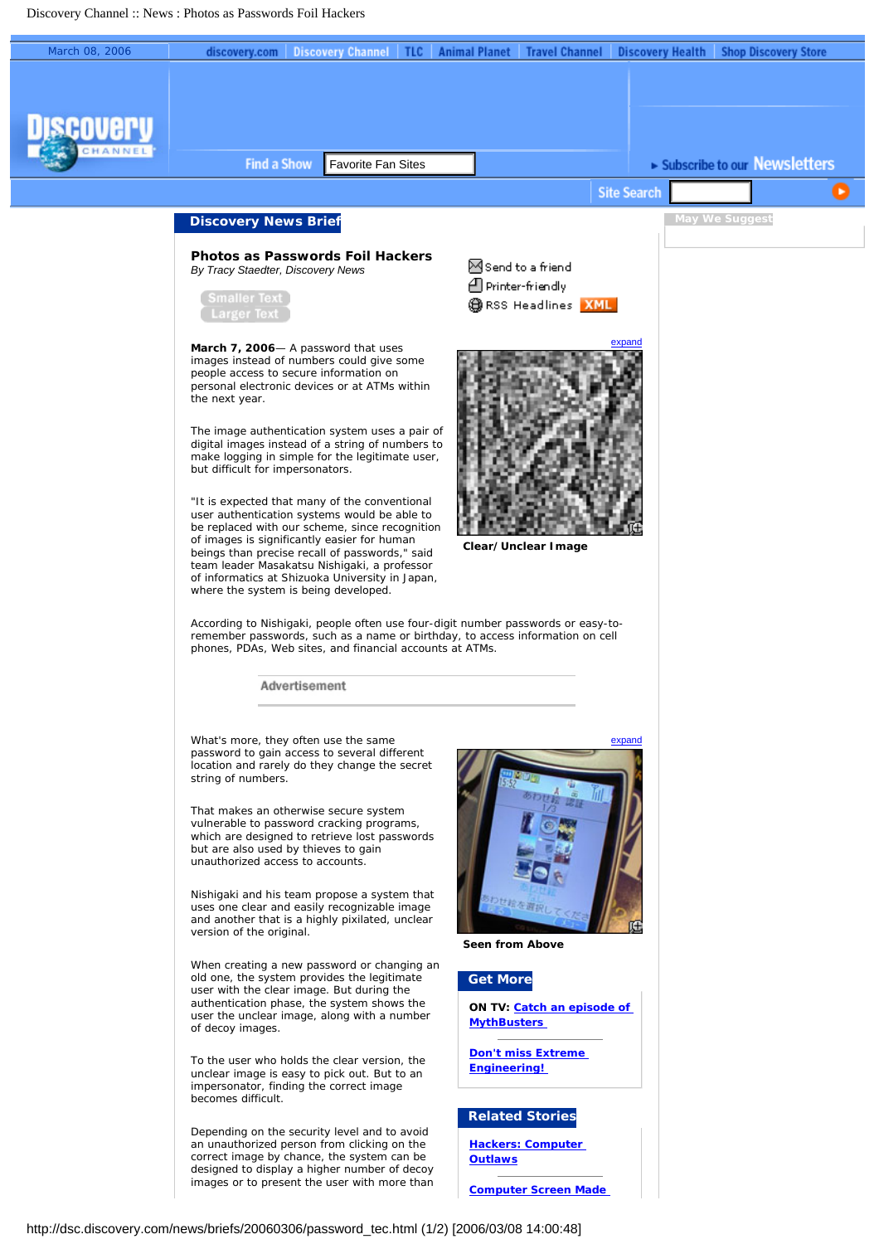